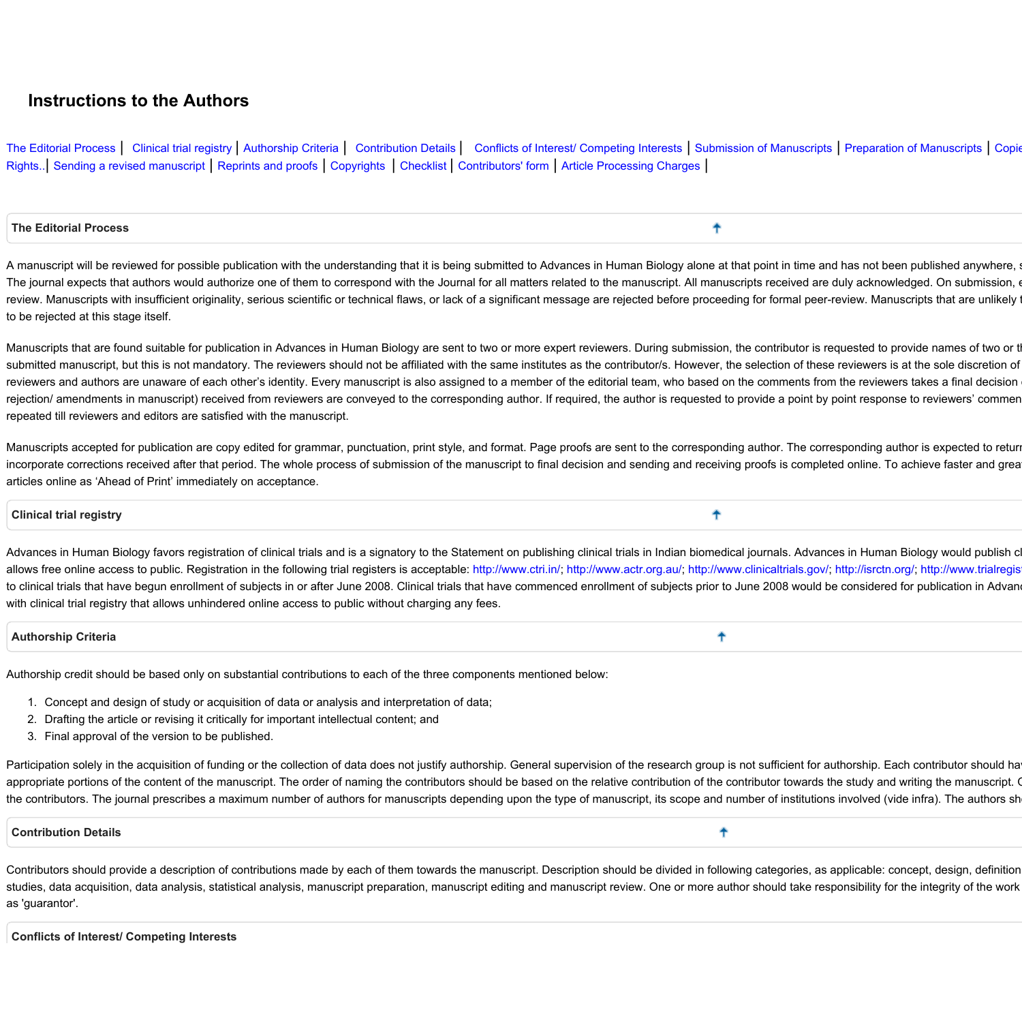# **Instructions to the Authors**

[The](#page-0-0) [Editorial](#page-0-0) [Process](#page-0-0) | [Clinical](#page-0-1) [trial](#page-0-1) [registry](#page-0-1) | [Authorship](#page-0-2) [Criteria](#page-0-2) | [Contribution](#page-0-3) [Details](#page-0-3) | [Conflicts](#page-0-4) [of](#page-5-0) [Interest/](#page-0-4) [Competing](#page-0-4) [Interests](#page-0-4) | [Submission](#page-1-0) of [Manuscripts](#page-2-1) | [Preparation](#page-1-1) of Manuscripts | Copie [Rights..](#page-5-0) [Sending](#page-5-1) [a](#page-5-1) [revised](#page-5-1) [manuscript](#page-5-1) | [Reprints](#page-5-2) [and](#page-5-2) [proofs](#page-5-2) | [Copyrights](#page-5-3) [|](#page-5-3) [Checklist](#page-6-0) | [Contributors'](#page-7-0) [form](#page-7-0) | [Article](#page-5-3) [Processing](#page-5-3) [Charges](#page-5-3) |

#### <span id="page-0-0"></span> **The Editorial Process**

A manuscript will be reviewed for possible publication with the understanding that it is being submitted to Advances in Human Biology alone at that point in time and has not been published anywhere, The journal expects that authors would authorize one of them to correspond with the Journal for all matters related to the manuscript. All manuscripts received are duly acknowledged. On submission, a review. Manuscripts with insufficient originality, serious scientific or technical flaws, or lack of a significant message are rejected before proceeding for formal peer-review. Manuscripts that are unlikely to **to be rejected at this stage itself.**

Manuscripts that are found suitable for publication in Advances in Human Biology are sent to two or more expert reviewers. During submission, the contributor is requested to provide names of two or tl submitted manuscript, but this is not mandatory. The reviewers should not be affiliated with the same institutes as the contributor/s. However, the selection of these reviewers is at the sole discretion of reviewers and authors are unaware of each other's identity. Every manuscript is also assigned to a member of the editorial team, who based on the comments from the reviewers takes a final decision rejection/ amendments in manuscript) received from reviewers are conveyed to the corresponding author. If required, the author is requested to provide a point by point response to reviewers' commen **repeated till reviewers and editors are satisfied with the manuscript.**

Manuscripts accepted for publication are copy edited for grammar, punctuation, print style, and format. Page proofs are sent to the corresponding author. The corresponding author is expected to return incorporate corrections received after that period. The whole process of submission of the manuscript to final decision and sending and receiving proofs is completed online. To achieve faster and grea **articles online as 'Ahead of Print' immediately on acceptance.**

#### <span id="page-0-1"></span> **Clinical trial registry**

Advances in Human Biology favors registration of clinical trials and is a signatory to the Statement on publishing clinical trials in Indian biomedical journals. Advances in Human Biology would publish cl allows free online access to public. Registration in the following trial registers is acceptable: [http://www.ctri.in/;](http://www.ctri.in/) [http://www.actr.org.au/;](http://www.actr.org.au/) [http://www.clinicaltrials.gov/;](https://www.clinicaltrials.gov/) [http://isrctn.org/;](http://isrctn.org/) http://www.trialregis to clinical trials that have begun enrollment of subjects in or after June 2008. Clinical trials that have commenced enrollment of subjects prior to June 2008 would be considered for publication in Advan **with clinical trial registry that allows unhindered online access to public without charging any fees.**

#### <span id="page-0-2"></span> **Authorship Criteria**

Authorship credit should be based only on substantial contributions to each of the three components mentioned below:

- **1. Concept and design of study or acquisition of data or analysis and interpretation of data;**
- **2. Drafting the article or revising it critically for important intellectual content; and**
- **3. Final approval of the version to be published.**

Participation solely in the acquisition of funding or the collection of data does not justify authorship. General supervision of the research group is not sufficient for authorship. Each contributor should ha appropriate portions of the content of the manuscript. The order of naming the contributors should be based on the relative contribution of the contributor towards the study and writing the manuscript. the contributors. The journal prescribes a maximum number of authors for manuscripts depending upon the type of manuscript, its scope and number of institutions involved (vide infra). The authors sh

# <span id="page-0-3"></span> **Contribution Details**

<span id="page-0-4"></span>Contributors should provide a description of contributions made by each of them towards the manuscript. Description should be divided in following categories, as applicable: concept, design, definition studies, data acquisition, data analysis, statistical analysis, manuscript preparation, manuscript editing and manuscript review. One or more author should take responsibility for the integrity of the work **as 'guarantor'.** 

4

个

ቶ

个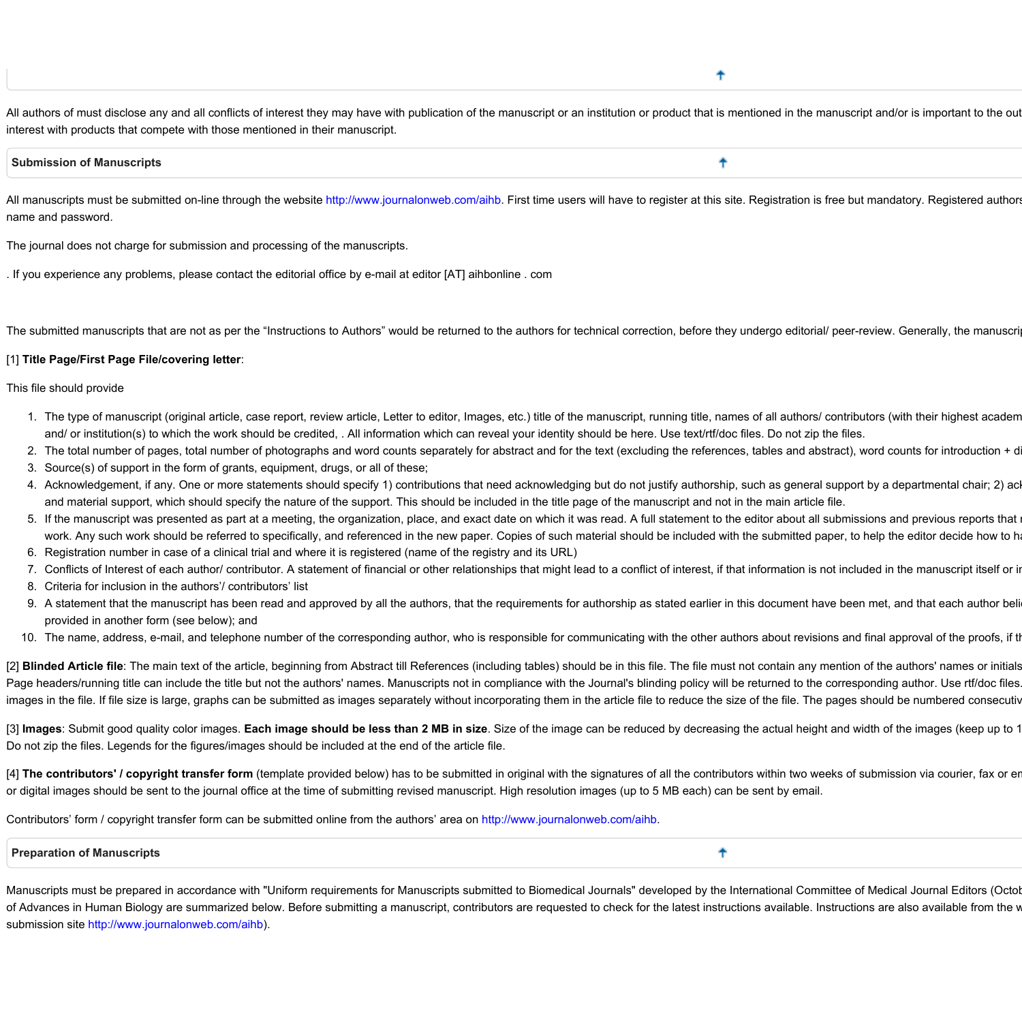All authors of must disclose any and all conflicts of interest they may have with publication of the manuscript or an institution or product that is mentioned in the manuscript and/or is important to the out **interest with products that compete with those mentioned in their manuscript.**

<span id="page-1-0"></span>

| $\,$ Submission of Manuscripts $\,$ |  |
|-------------------------------------|--|
|-------------------------------------|--|

All manuscripts must be submitted on-line through the website <http://www.journalonweb.com/aihb>. First time users will have to register at this site. Registration is free but mandatory. Registered authors **name and password.**

**The journal does not charge for submission and processing of the manuscripts.**

. If you experience any problems, please contact the editorial office by e-mail at editor [AT] aihbonline . com

The submitted manuscripts that are not as per the "Instructions to Authors" would be returned to the authors for technical correction, before they undergo editorial/ peer-review. Generally, the manuscripted the manuscripte

#### **[1] Title Page/First Page File/covering letter:**

#### **This file should provide**

- 1. The type of manuscript (original article, case report, review article, Letter to editor, Images, etc.) title of the manuscript, running title, names of all authors/ contributors (with their highest academ and/ or institution(s) to which the work should be credited, . All information which can reveal your identity should be here. Use text/rtf/doc files. Do not zip the files.
- 2. The total number of pages, total number of photographs and word counts separately for abstract and for the text (excluding the references, tables and abstract), word counts for introduction + d
- **3. Source(s) of support in the form of grants, equipment, drugs, or all of these;**
- 4. Acknowledgement, if any. One or more statements should specify 1) contributions that need acknowledging but do not justify authorship, such as general support by a departmental chair; 2) acl and material support, which should specify the nature of the support. This should be included in the title page of the manuscript and not in the main article file.
- 5. If the manuscript was presented as part at a meeting, the organization, place, and exact date on which it was read. A full statement to the editor about all submissions and previous reports that work. Any such work should be referred to specifically, and referenced in the new paper. Copies of such material should be included with the submitted paper, to help the editor decide how to halp
- 6. Registration number in case of a clinical trial and where it is registered (name of the registry and its URL)
- 7. Conflicts of Interest of each author/ contributor. A statement of financial or other relationships that might lead to a conflict of interest, if that information is not included in the manuscript itself or in
- **8. Criteria for inclusion in the authors'/ contributors' list**
- 9. A statement that the manuscript has been read and approved by all the authors, that the requirements for authorship as stated earlier in this document have been met, and that each author beli **provided in another form (see below); and**
- 10. The name, address, e-mail, and telephone number of the corresponding author, who is responsible for communicating with the other authors about revisions and final approval of the proofs, if the

[2] Blinded Article file: The main text of the article, beginning from Abstract till References (including tables) should be in this file. The file must not contain any mention of the authors' names or initials Page headers/running title can include the title but not the authors' names. Manuscripts not in compliance with the Journal's blinding policy will be returned to the corresponding author. Use rtf/doc files. images in the file. If file size is large, graphs can be submitted as images separately without incorporating them in the article file to reduce the size of the file. The pages should be numbered consecutive

[3] Images: Submit good quality color images. Each image should be less than 2 MB in size. Size of the image can be reduced by decreasing the actual height and width of the images (keep up to 1 Do not zip the files. Legends for the figures/images should be included at the end of the article file.

[4] The contributors' / copyright transfer form (template provided below) has to be submitted in original with the signatures of all the contributors within two weeks of submission via courier, fax or er or digital images should be sent to the journal office at the time of submitting revised manuscript. High resolution images (up to 5 MB each) can be sent by email.

Contributors' form / copyright transfer form can be submitted online from the authors' area on <http://www.journalonweb.com/aihb>.

#### <span id="page-1-1"></span> **Preparation of Manuscripts**

Manuscripts must be prepared in accordance with "Uniform requirements for Manuscripts submitted to Biomedical Journals" developed by the International Committee of Medical Journal Editors (Octob of Advances in Human Biology are summarized below. Before submitting a manuscript, contributors are requested to check for the latest instructions available. Instructions are also available from the v **submission site <http://www.journalonweb.com/aihb>).**

个

4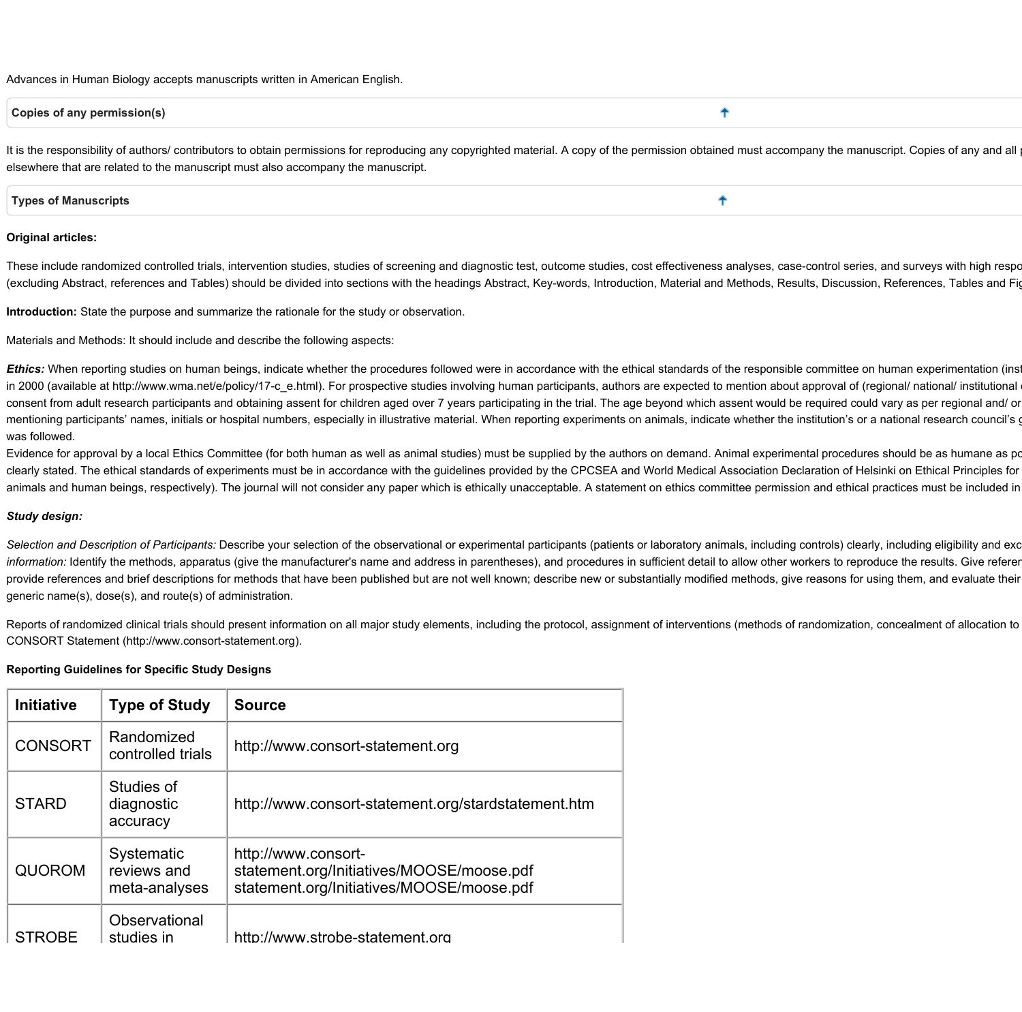**Advances in Human Biology accepts manuscripts written in American English.**

<span id="page-2-0"></span>

| Conies |  |  |
|--------|--|--|
|        |  |  |

It is the responsibility of authors/ contributors to obtain permissions for reproducing any copyrighted material. A copy of the permission obtained must accompany the manuscript. Copies of any and all **elsewhere that are related to the manuscript must also accompany the manuscript.**

<span id="page-2-1"></span>

#### **Original articles:**

These include randomized controlled trials, intervention studies, studies of screening and diagnostic test, outcome studies, cost effectiveness analyses, case-control series, and surveys with high respo (excluding Abstract, references and Tables) should be divided into sections with the headings Abstract, Key-words, Introduction, Material and Methods, Results, Discussion, References, Tables and Fig.

**Introduction: State the purpose and summarize the rationale for the study or observation.** 

**Materials and Methods: It should include and describe the following aspects:**

Ethics: When reporting studies on human beings, indicate whether the procedures followed were in accordance with the ethical standards of the responsible committee on human experimentation (inst in 2000 (available at http://www.wma.net/e/policy/17-c\_e.html). For prospective studies involving human participants, authors are expected to mention about approval of (regional/ national/ institutional consent from adult research participants and obtaining assent for children aged over 7 years participating in the trial. The age beyond which assent would be required could vary as per regional and/ or mentioning participants' names, initials or hospital numbers, especially in illustrative material. When reporting experiments on animals, indicate whether the institution's or a national research council's our **was followed.**

Evidence for approval by a local Ethics Committee (for both human as well as animal studies) must be supplied by the authors on demand. Animal experimental procedures should be as humane as po clearly stated. The ethical standards of experiments must be in accordance with the guidelines provided by the CPCSEA and World Medical Association Declaration of Helsinki on Ethical Principles for animals and human beings, respectively). The journal will not consider any paper which is ethically unacceptable. A statement on ethics committee permission and ethical practices must be included in

# *Study design:*

Selection and Description of Participants: Describe your selection of the observational or experimental participants (patients or laboratory animals, including controls) clearly, including eligibility and exc information: Identify the methods, apparatus (give the manufacturer's name and address in parentheses), and procedures in sufficient detail to allow other workers to reproduce the results. Give referer provide references and brief descriptions for methods that have been published but are not well known; describe new or substantially modified methods, give reasons for using them, and evaluate their **generic name(s), dose(s), and route(s) of administration.**

Reports of randomized clinical trials should present information on all major study elements, including the protocol, assignment of interventions (methods of randomization, concealment of allocation to **CONSORT Statement (http://www.consort-statement.org).**

# **Reporting Guidelines for Specific Study Designs**

| <b>Initiative</b> | <b>Type of Study</b>                       | <b>Source</b>                                                                                                 |
|-------------------|--------------------------------------------|---------------------------------------------------------------------------------------------------------------|
| <b>CONSORT</b>    | Randomized<br>controlled trials            | http://www.consort-statement.org                                                                              |
| <b>STARD</b>      | Studies of<br>diagnostic<br>accuracy       | http://www.consort-statement.org/stardstatement.htm                                                           |
| <b>QUOROM</b>     | Systematic<br>reviews and<br>meta-analyses | http://www.consort-<br>statement.org/Initiatives/MOOSE/moose.pdf<br>statement.org/Initiatives/MOOSE/moose.pdf |
| <b>STROBE</b>     | Observational<br>studies in                | http://www.strobe-statement.org                                                                               |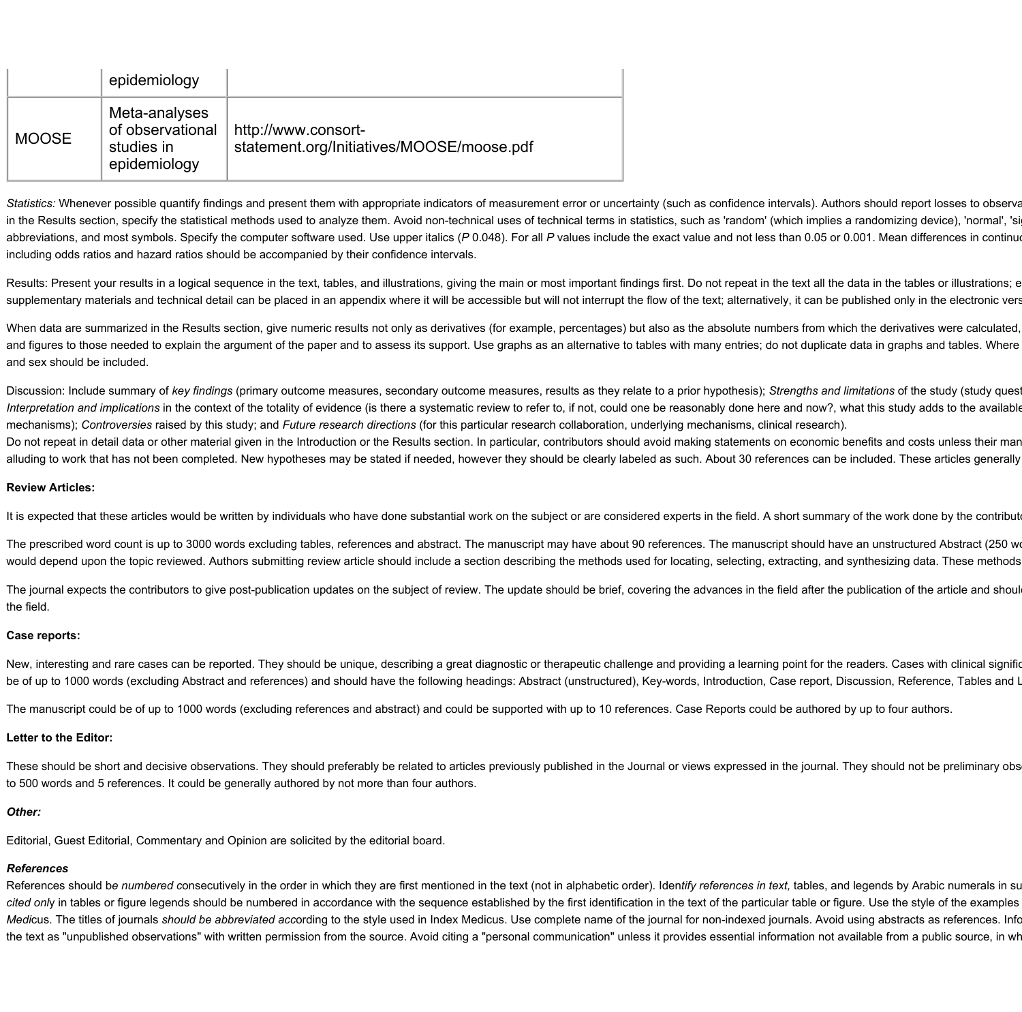|              | epidemiology                                                    |                                                                  |
|--------------|-----------------------------------------------------------------|------------------------------------------------------------------|
| <b>MOOSE</b> | Meta-analyses<br>of observational<br>studies in<br>epidemiology | http://www.consort-<br>statement.org/Initiatives/MOOSE/moose.pdf |

Statistics: Whenever possible quantify findings and present them with appropriate indicators of measurement error or uncertainty (such as confidence intervals). Authors should report losses to observa in the Results section, specify the statistical methods used to analyze them. Avoid non-technical uses of technical terms in statistics, such as 'random' (which implies a randomizing device), 'normal', 'si abbreviations, and most symbols. Specify the computer software used. Use upper italics (P 0.048). For all P values include the exact value and not less than 0.05 or 0.001. Mean differences in continuous **including odds ratios and hazard ratios should be accompanied by their confidence intervals.**

Results: Present your results in a logical sequence in the text, tables, and illustrations, giving the main or most important findings first. Do not repeat in the text all the data in the tables or illustrations; e supplementary materials and technical detail can be placed in an appendix where it will be accessible but will not interrupt the flow of the text; alternatively, it can be published only in the electronic vers

When data are summarized in the Results section, give numeric results not only as derivatives (for example, percentages) but also as the absolute numbers from which the derivatives were calculated, and figures to those needed to explain the argument of the paper and to assess its support. Use graphs as an alternative to tables with many entries; do not duplicate data in graphs and tables. Where **and sex should be included.**

Discussion: Include summary of key findings (primary outcome measures, secondary outcome measures, results as they relate to a prior hypothesis); Strengths and limitations of the study (study quest Interpretation and implications in the context of the totality of evidence (is there a systematic review to refer to, if not, could one be reasonably done here and now?, what this study adds to the available mechanisms); Controversies raised by this study; and Future research directions (for this particular research collaboration, underlying mechanisms, clinical research).

Do not repeat in detail data or other material given in the Introduction or the Results section. In particular, contributors should avoid making statements on economic benefits and costs unless their man alluding to work that has not been completed. New hypotheses may be stated if needed, however they should be clearly labeled as such. About 30 references can be included. These articles generally

#### **Review Articles:**

It is expected that these articles would be written by individuals who have done substantial work on the subject or are considered experts in the field. A short summary of the work done by the contribute

The prescribed word count is up to 3000 words excluding tables, references and abstract. The manuscript may have about 90 references. The manuscript should have an unstructured Abstract (250 w would depend upon the topic reviewed. Authors submitting review article should include a section describing the methods used for locating, selecting, extracting, and synthesizing data. These methods

The journal expects the contributors to give post-publication updates on the subject of review. The update should be brief, covering the advances in the field after the publication of the article and shoul **the field.**

#### **Case reports:**

New, interesting and rare cases can be reported. They should be unique, describing a great diagnostic or therapeutic challenge and providing a learning point for the readers. Cases with clinical signific be of up to 1000 words (excluding Abstract and references) and should have the following headings: Abstract (unstructured), Key-words, Introduction, Case report, Discussion, Reference, Tables and L

The manuscript could be of up to 1000 words (excluding references and abstract) and could be supported with up to 10 references. Case Reports could be authored by up to four authors.

#### **Letter to the Editor:**

These should be short and decisive observations. They should preferably be related to articles previously published in the Journal or views expressed in the journal. They should not be preliminary obs **to 500 words and 5 references. It could be generally authored by not more than four authors.**

#### *Other:*

**Editorial, Guest Editorial, Commentary and Opinion are solicited by the editorial board.**

# *References*

References should be numbered consecutively in the order in which they are first mentioned in the text (not in alphabetic order). Identify references in text, tables, and legends by Arabic numerals in su cited only in tables or figure legends should be numbered in accordance with the sequence established by the first identification in the text of the particular table or figure. Use the style of the examples Medicus. The titles of journals should be abbreviated according to the style used in Index Medicus. Use complete name of the journal for non-indexed journals. Avoid using abstracts as references. Info the text as "unpublished observations" with written permission from the source. Avoid citing a "personal communication" unless it provides essential information not available from a public source, in wh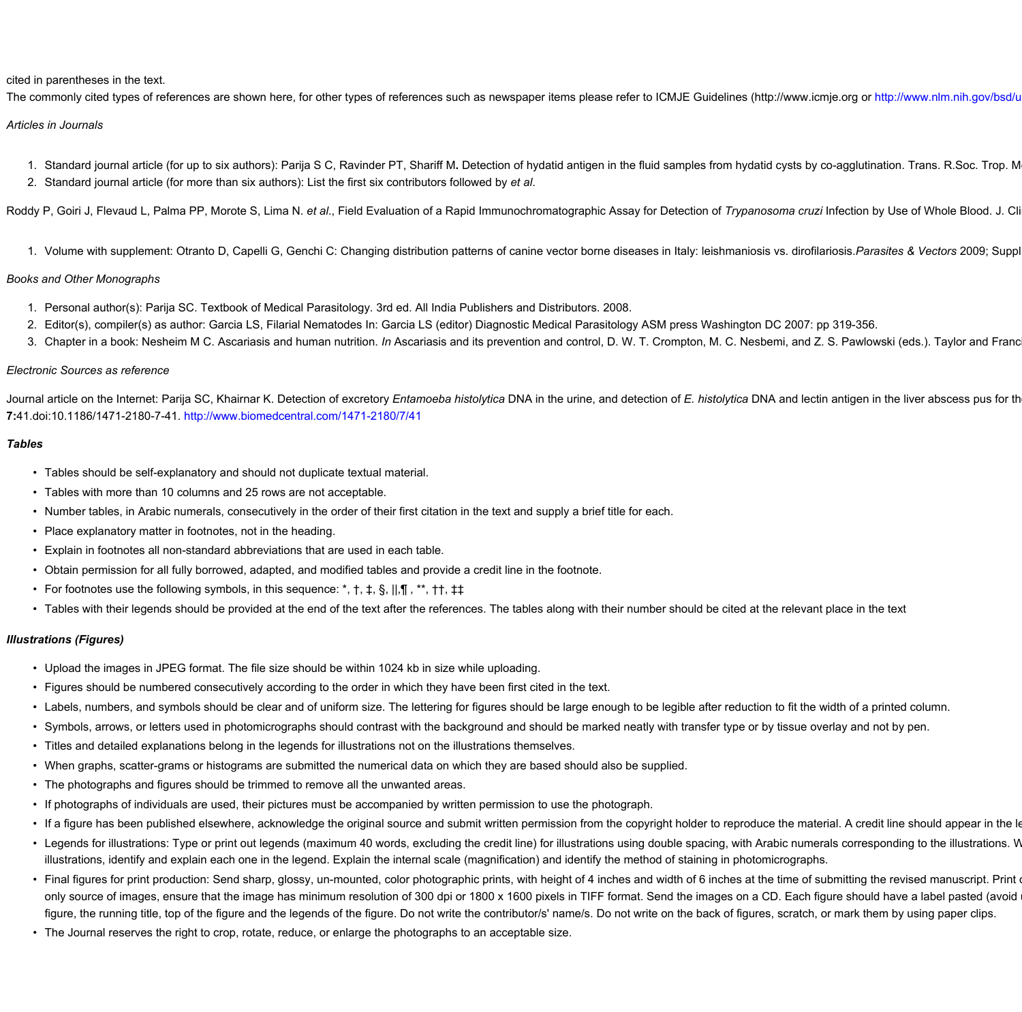#### **cited in parentheses in the text.**

The commonly cited types of references are shown here, for other types of references such as newspaper items please refer to ICMJE Guidelines (http://www.icmje.org or http://www.nlm.nih.gov/bsd/u

#### *Articles in Journals*

- 1. Standard journal article (for up to six authors): Parija S C, Ravinder PT, Shariff M. Detection of hydatid antigen in the fluid samples from hydatid cysts by co-agglutination. Trans. R.Soc. Trop. M
- 2. Standard journal article (for more than six authors): List the first six contributors followed by et al.

Roddy P, Goiri J, Flevaud L, Palma PP, Morote S, Lima N. et al., Field Evaluation of a Rapid Immunochromatographic Assay for Detection of Trypanosoma cruzi Infection by Use of Whole Blood. J. Cli

1. Volume with supplement: Otranto D, Capelli G, Genchi C: Changing distribution patterns of canine vector borne diseases in Italy: leishmaniosis vs. dirofilariosis. Parasites & Vectors 2009; Suppl

#### *Books and Other Monographs*

- 1. Personal author(s): Parija SC. Textbook of Medical Parasitology. 3rd ed. All India Publishers and Distributors. 2008.
- 2. Editor(s), compiler(s) as author: Garcia LS, Filarial Nematodes In: Garcia LS (editor) Diagnostic Medical Parasitology ASM press Washington DC 2007: pp 319-356.
- 3. Chapter in a book: Nesheim M C. Ascariasis and human nutrition. In Ascariasis and its prevention and control, D. W. T. Crompton, M. C. Nesbemi, and Z. S. Pawlowski (eds.). Taylor and Franc

#### *Electronic Sources as reference*

Journal article on the Internet: Parija SC, Khairnar K. Detection of excretory Entamoeba histolytica DNA in the urine, and detection of E. histolytica DNA and lectin antigen in the liver abscess pus for th **7:41.doi:10.1186/1471-2180-7-41. [http://www.biomedcentral.com/1471-2180/7/41](https://www.biomedcentral.com/1471-2180/7/41)**

#### *Tables*

- **• Tables should be self-explanatory and should not duplicate textual material.**
- **• Tables with more than 10 columns and 25 rows are not acceptable.**
- Number tables, in Arabic numerals, consecutively in the order of their first citation in the text and supply a brief title for each.
- **• Place explanatory matter in footnotes, not in the heading.**
- **• Explain in footnotes all non-standard abbreviations that are used in each table.**
- Obtain permission for all fully borrowed, adapted, and modified tables and provide a credit line in the footnote.
- **• For footnotes use the following symbols, in this sequence: \*, †, ‡, §, ||,¶ , \*\*, ††, ‡‡**
- Tables with their legends should be provided at the end of the text after the references. The tables along with their number should be cited at the relevant place in the text

#### *Illustrations (Figures)*

- Upload the images in JPEG format. The file size should be within 1024 kb in size while uploading.
- Figures should be numbered consecutively according to the order in which they have been first cited in the text.
- Labels, numbers, and symbols should be clear and of uniform size. The lettering for figures should be large enough to be legible after reduction to fit the width of a printed column.
- . Symbols, arrows, or letters used in photomicrographs should contrast with the background and should be marked neatly with transfer type or by tissue overlay and not by pen.
- **• Titles and detailed explanations belong in the legends for illustrations not on the illustrations themselves.**
- When graphs, scatter-grams or histograms are submitted the numerical data on which they are based should also be supplied.
- **• The photographs and figures should be trimmed to remove all the unwanted areas.**
- If photographs of individuals are used, their pictures must be accompanied by written permission to use the photograph.
- If a figure has been published elsewhere, acknowledge the original source and submit written permission from the copyright holder to reproduce the material. A credit line should appear in the le
- Legends for illustrations: Type or print out legends (maximum 40 words, excluding the credit line) for illustrations using double spacing, with Arabic numerals corresponding to the illustrations. W illustrations, identify and explain each one in the legend. Explain the internal scale (magnification) and identify the method of staining in photomicrographs.
- · Final figures for print production: Send sharp, glossy, un-mounted, color photographic prints, with height of 4 inches and width of 6 inches at the time of submitting the revised manuscript. Print of only source of images, ensure that the image has minimum resolution of 300 dpi or 1800 x 1600 pixels in TIFF format. Send the images on a CD. Each figure should have a label pasted (avoid figure, the running title, top of the figure and the legends of the figure. Do not write the contributor/s' name/s. Do not write on the back of figures, scratch, or mark them by using paper clips.
- The Journal reserves the right to crop, rotate, reduce, or enlarge the photographs to an acceptable size.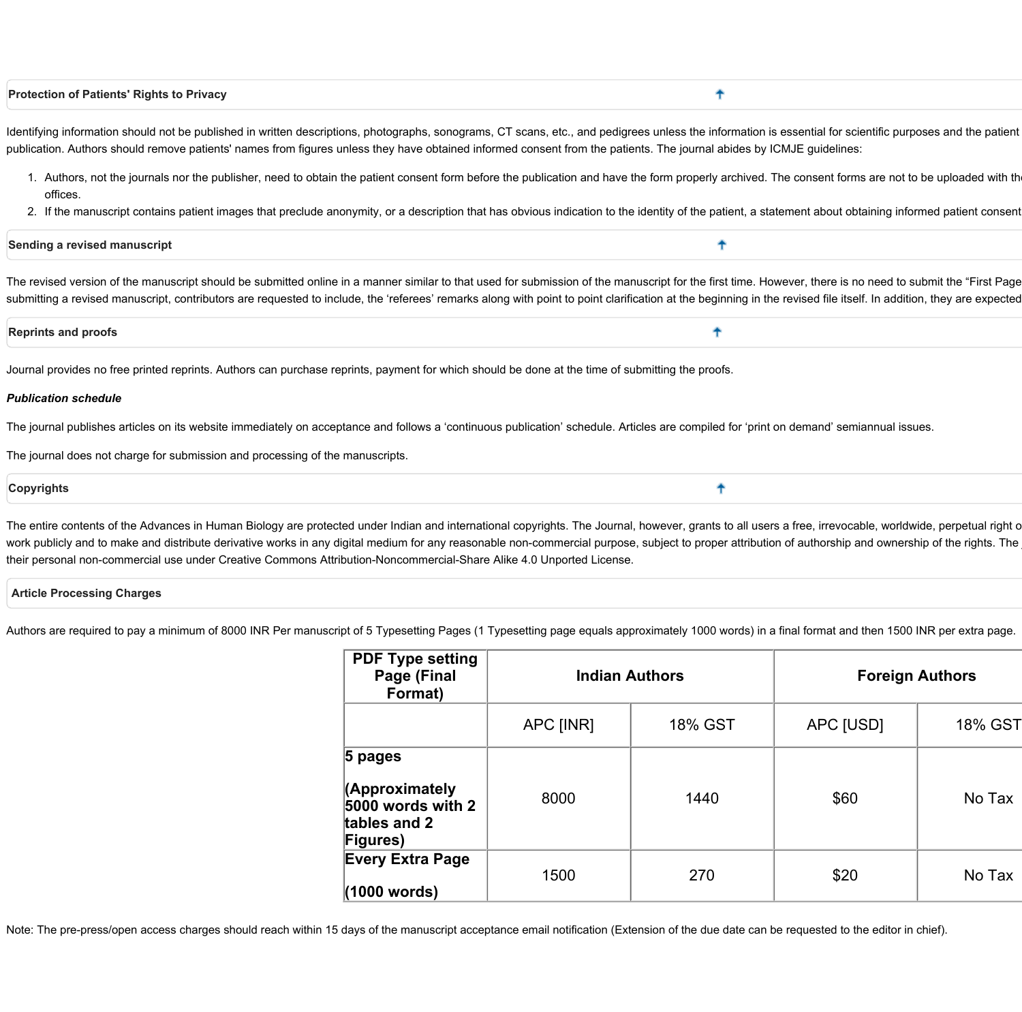<span id="page-5-0"></span>

Identifying information should not be published in written descriptions, photographs, sonograms, CT scans, etc., and pedigrees unless the information is essential for scientific purposes and the patient publication. Authors should remove patients' names from figures unless they have obtained informed consent from the patients. The journal abides by ICMJE guidelines:

- 1. Authors, not the journals nor the publisher, need to obtain the patient consent form before the publication and have the form properly archived. The consent forms are not to be uploaded with th **offices.**
- 2. If the manuscript contains patient images that preclude anonymity, or a description that has obvious indication to the identity of the patient, a statement about obtaining informed patient consent

#### <span id="page-5-1"></span>**Sending a revised manuscript**  个

The revised version of the manuscript should be submitted online in a manner similar to that used for submission of the manuscript for the first time. However, there is no need to submit the "First Page submitting a revised manuscript, contributors are requested to include, the 'referees' remarks along with point to point clarification at the beginning in the revised file itself. In addition, they are expected

<span id="page-5-2"></span>

| $P_{\text{ADPIDTE}}$ |  |  |
|----------------------|--|--|
|                      |  |  |

Journal provides no free printed reprints. Authors can purchase reprints, payment for which should be done at the time of submitting the proofs.

#### *Publication schedule*

The journal publishes articles on its website immediately on acceptance and follows a 'continuous publication' schedule. Articles are compiled for 'print on demand' semiannual issues.

**The journal does not charge for submission and processing of the manuscripts.**

<span id="page-5-3"></span>**Copyrights** ٠

The entire contents of the Advances in Human Biology are protected under Indian and international copyrights. The Journal, however, grants to all users a free, irrevocable, worldwide, perpetual right o work publicly and to make and distribute derivative works in any digital medium for any reasonable non-commercial purpose, subject to proper attribution of authorship and ownership of the rights. The **their personal non-commercial use under Creative Commons Attribution-Noncommercial-Share Alike 4.0 Unported License.**

#### **Article Processing Charges**

Authors are required to pay a minimum of 8000 INR Per manuscript of 5 Typesetting Pages (1 Typesetting page equals approximately 1000 words) in a final format and then 1500 INR per extra page

| <b>PDF Type setting</b><br>Page (Final<br>Format)                          | <b>Indian Authors</b> |                | <b>Foreign Authors</b> |                |
|----------------------------------------------------------------------------|-----------------------|----------------|------------------------|----------------|
|                                                                            | APC [INR]             | <b>18% GST</b> | APC [USD]              | <b>18% GST</b> |
| 5 pages<br>(Approximately<br>5000 words with 2<br>tables and 2<br>Figures) | 8000                  | 1440           | \$60                   | No Tax         |
| <b>Every Extra Page</b><br>(1000 words)                                    | 1500                  | 270            | \$20                   | No Tax         |

Note: The pre-press/open access charges should reach within 15 days of the manuscript acceptance email notification (Extension of the due date can be requested to the editor in chief).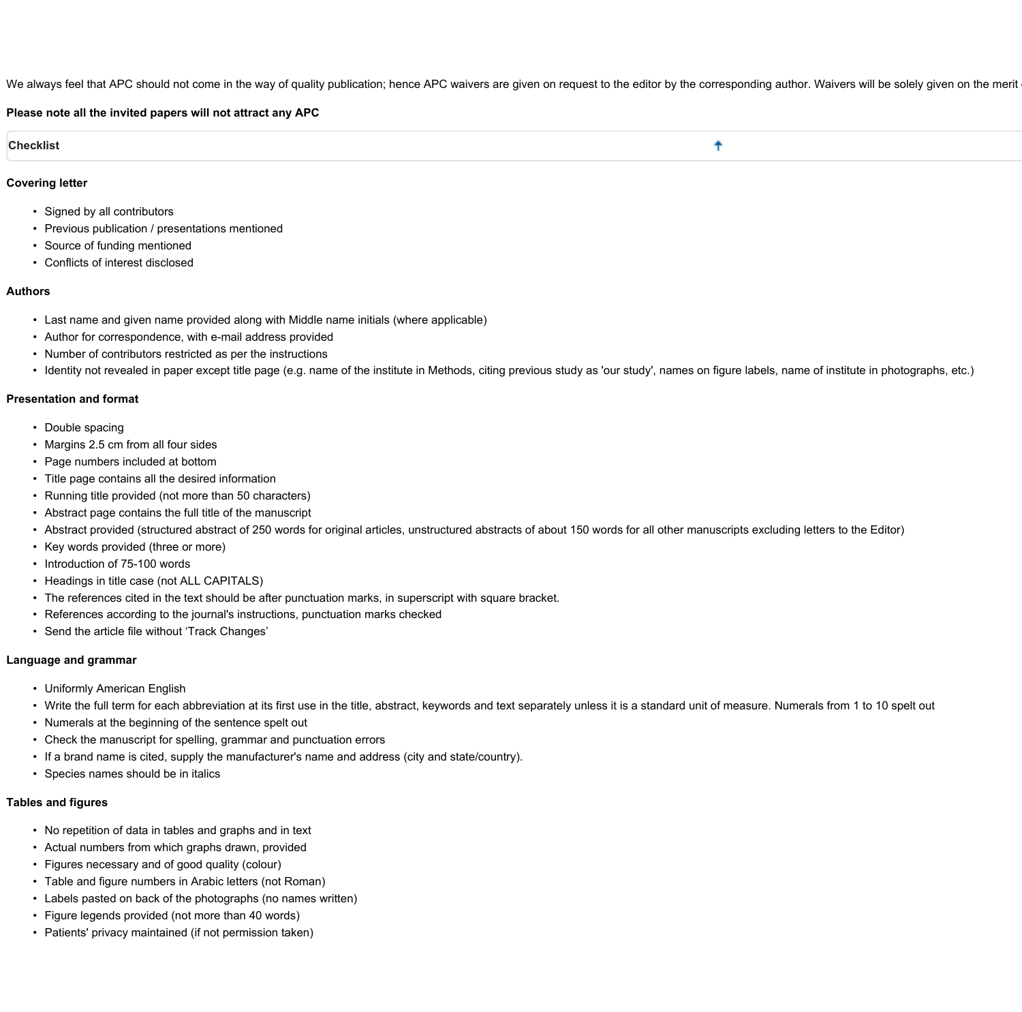We always feel that APC should not come in the way of quality publication; hence APC waivers are given on request to the editor by the corresponding author. Waivers will be solely given on the merit

#### **Please note all the invited papers will not attract any APC**

<span id="page-6-0"></span>

| <b>Checklist</b> |  |
|------------------|--|
|                  |  |

## **Covering letter**

- **• Signed by all contributors**
- **• Previous publication / presentations mentioned**
- **• Source of funding mentioned**
- **• Conflicts of interest disclosed**

#### **Authors**

- **• Last name and given name provided along with Middle name initials (where applicable)**
- **• Author for correspondence, with e-mail address provided**
- **• Number of contributors restricted as per the instructions**
- · Identity not revealed in paper except title page (e.g. name of the institute in Methods, citing previous study as 'our study', names on figure labels, name of institute in photographs, etc.)

### **Presentation and format**

- **• Double spacing**
- **• Margins 2.5 cm from all four sides**
- **• Page numbers included at bottom**
- **• Title page contains all the desired information**
- **• Running title provided (not more than 50 characters)**
- **• Abstract page contains the full title of the manuscript**
- Abstract provided (structured abstract of 250 words for original articles, unstructured abstracts of about 150 words for all other manuscripts excluding letters to the Editor)
- **• Key words provided (three or more)**
- **• Introduction of 75-100 words**
- **• Headings in title case (not ALL CAPITALS)**
- **• The references cited in the text should be after punctuation marks, in superscript with square bracket.**
- **• References according to the journal's instructions, punctuation marks checked**
- **• Send the article file without 'Track Changes'**

#### **Language and grammar**

- **• Uniformly American English**
- Write the full term for each abbreviation at its first use in the title, abstract, keywords and text separately unless it is a standard unit of measure. Numerals from 1 to 10 spelt out
- **• Numerals at the beginning of the sentence spelt out**
- **• Check the manuscript for spelling, grammar and punctuation errors**
- **• If a brand name is cited, supply the manufacturer's name and address (city and state/country).**
- **• Species names should be in italics**

#### **Tables and figures**

- **• No repetition of data in tables and graphs and in text**
- **• Actual numbers from which graphs drawn, provided**
- **• Figures necessary and of good quality (colour)**
- **• Table and figure numbers in Arabic letters (not Roman)**
- **• Labels pasted on back of the photographs (no names written)**
- **• Figure legends provided (not more than 40 words)**
- **• Patients' privacy maintained (if not permission taken)**